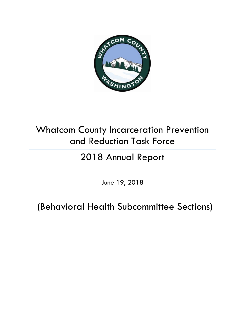

## Whatcom County Incarceration Prevention and Reduction Task Force

# 2018 Annual Report

June 19, 2018

(Behavioral Health Subcommittee Sections)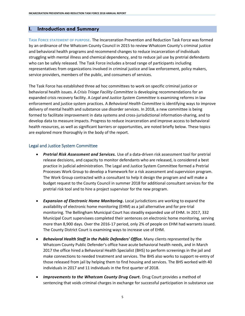## **I. Introduction and Summary**

**TASK FORCE STATEMENT OF PURPOSE.** The Incarceration Prevention and Reduction Task Force was formed by an ordinance of the Whatcom County Council in 2015 to review Whatcom County's criminal justice and behavioral health programs and recommend changes to reduce incarceration of individuals struggling with mental illness and chemical dependency, and to reduce jail use by pretrial defendants who can be safely released. The Task Force includes a broad range of participants including representatives from organizations involved in criminal justice and law enforcement, policy makers, service providers, members of the public, and consumers of services.

The Task Force has established three ad hoc committees to work on specific criminal justice or behavioral health issues. A *Crisis Triage Facility Committee* is developing recommendations for an expanded crisis recovery facility. A *Legal and Justice System Committee* is examining reforms in law enforcement and justice system practices. A *Behavioral Health Committee* is identifying ways to improve delivery of mental health and substance use disorder services. In 2018, a new committee is being formed to facilitate improvement in data systems and cross-jurisdictional information-sharing, and to develop data to measure impacts. Progress to reduce incarceration and improve access to behavioral health resources, as well as significant barriers or opportunities, are noted briefly below. These topics are explored more thoroughly in the body of the report.

## Legal and Justice System Committee

- *Pretrial Risk Assessment and Services.* Use of a data-driven risk assessment tool for pretrial release decisions, and capacity to monitor defendants who are released, is considered a best practice in judicial administration. The Legal and Justice System Committee formed a Pretrial Processes Work Group to develop a framework for a risk assessment and supervision program. The Work Group contracted with a consultant to help it design the program and will make a budget request to the County Council in summer 2018 for additional consultant services for the pretrial risk tool and to hire a project supervisor for the new program.
- *Expansion of Electronic Home Monitoring.* Local jurisdictions are working to expand the availability of electronic home monitoring (EHM) as a jail alternative and for pre-trial monitoring. The Bellingham Municipal Court has steadily expanded use of EHM. In 2017, 332 Municipal Court supervisees completed their sentences on electronic home monitoring, serving more than 8,900 days. Over the 2016-17 period, only 2% of people on EHM had warrants issued. The County District Court is examining ways to increase use of EHM.
- *Behavioral Health Staff in the Public Defenders' Office.* Many clients represented by the Whatcom County Public Defender's office have acute behavioral health needs, and in March 2017 the office hired a Behavioral Health Specialist (BHS) to perform screenings in the jail and make connections to needed treatment and services. The BHS also works to support re-entry of those released from jail by helping them to find housing and services. The BHS worked with 40 individuals in 2017 and 11 individuals in the first quarter of 2018.
- *Improvements to the Whatcom County Drug Court.* Drug Court provides a method of sentencing that voids criminal charges in exchange for successful participation in substance use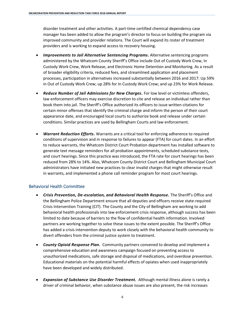disorder treatment and other activities. A part-time certified chemical dependency case manager has been added to allow the program's director to focus on building the program via improved community and provider relations. The Court will expand its roster of treatment providers and is working to expand access to recovery housing.

- *Improvements to Jail Alternative Sentencing Programs***.** Alternative sentencing programs administered by the Whatcom County Sheriff's Office include Out of Custody Work Crew, In Custody Work Crew, Work Release, and Electronic Home Detention and Monitoring. As a result of broader eligibility criteria, reduced fees, and streamlined application and placement processes, participation in alternatives increased substantially between 2016 and 2017: Up 59% in Out of Custody Work Crew; up 28% for In Custody Work Crew; and up 23% for Work Release.
- *Reduce Number of Jail Admissions for New Charges.* For low level or victimless offenders, law enforcement officers may exercise discretion to cite and release an individual rather than book them into jail. The Sheriff's Office authorized its officers to issue written citations for certain minor offenses that identify the criminal charge and inform the person of their court appearance date, and encouraged local courts to authorize book and release under certain conditions. Similar practices are used by Bellingham Courts and law enforcement.
- *Warrant Reduction Efforts.* Warrants are a critical tool for enforcing adherence to required conditions of supervision and in response to failures to appear (FTA) for court dates. In an effort to reduce warrants, the Whatcom District Court Probation department has installed software to generate text message reminders for all probation appointments, scheduled substance tests, and court hearings. Since this practice was introduced, the FTA rate for court hearings has been reduced from 28% to 14%. Also, Whatcom County District Court and Bellingham Municipal Court administrators have initiated new practices to clear invalid charges that might otherwise result in warrants, and implemented a phone call reminder program for most court hearings.

## Behavioral Health Committee

- *Crisis Prevention, De-escalation, and Behavioral Health Response.* The Sheriff's Office and the Bellingham Police Department ensure that all deputies and officers receive state-required Crisis Intervention Training (CIT). The County and the City of Bellingham are working to add behavioral health professionals into law enforcement crisis response, although success has been limited to date because of barriers to the flow of confidential health information. Involved partners are working together to solve these issues to the extent possible. The Sheriff's Office has added a crisis intervention deputy to work closely with the behavioral health community to divert offenders from the criminal justice system to treatment.
- *County Opioid Response Plan.*Community partners convened to develop and implement a comprehensive education and awareness campaign focused on preventing access to unauthorized medications, safe storage and disposal of medications, and overdose prevention. Educational materials on the potential harmful effects of opiates when used inappropriately have been developed and widely distributed.
- **Expansion of Substance Use Disorder Treatment.** Although mental illness alone is rarely a driver of criminal behavior, when substance abuse issues are also present, the risk increases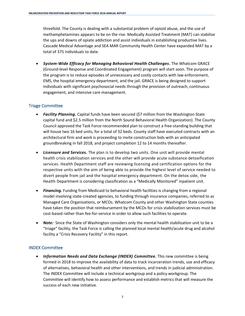threefold. The County is dealing with a substantial problem of opioid abuse, and the use of methamphetamines appears to be on the rise. Medically Assisted Treatment (MAT) can stabilize the ups and downs of opiate addiction and assist individuals in establishing productive lives. Cascade Medical Advantage and SEA MAR Community Health Center have expanded MAT by a total of 375 individuals to date.

 *System-Wide Efficacy for Managing Behavioral Health Challenges.* The Whatcom GRACE (Ground-level Response and Coordinated Engagement) program will start soon. The purpose of the program is to reduce episodes of unnecessary and costly contacts with law enforcement, EMS, the hospital emergency department, and the jail. GRACE is being designed to support individuals with significant psychosocial needs through the provision of outreach, continuous engagement, and intensive care management.

## Triage Committee

- *Facility Planning.* Capital funds have been secured (\$7 million from the Washington State capital fund and \$2.5 million from the North Sound Behavioral Health Organization). The County Council approved the Task Force-recommended plan to construct a free-standing building that will house two 16 bed units, for a total of 32 beds. County staff have executed contracts with an architectural firm and work is proceeding to invite construction bids with an anticipated groundbreaking in fall 2018, and project completion 12 to 14 months thereafter.
- *Licensure and Services.* The plan is to develop two units. One unit will provide mental health crisis stabilization services and the other will provide acute substance detoxification services. Health Department staff are reviewing licensing and certification options for the respective units with the aim of being able to provide the highest level of service needed to divert people from jail and the hospital emergency department. On the detox side, the Health Department is considering classification as a "Medically Monitored" inpatient unit.
- *Financing.* Funding from Medicaid to behavioral health facilities is changing from a regional model involving state-created agencies, to funding through insurance companies, referred to as Managed Care Organizations, or MCOs. Whatcom County and other Washington State counties have taken the position that reimbursement by the MCOs for crisis stabilization services must be cost-based rather than fee-for-service in order to allow such facilities to operate.
- *Note:* Since the State of Washington considers only the mental health stabilization unit to be a "triage" facility, the Task Force is calling the planned local mental health/acute drug and alcohol facility a "Crisis Recovery Facility" in this report.

## INDEX Committee

 *Information Needs and Data Exchange (INDEX) Committee***.** This new committee is being formed in 2018 to improve the availability of data to track incarceration trends, use and efficacy of alternatives, behavioral health and other interventions, and trends in judicial administration. The INDEX Committee will include a technical workgroup and a policy workgroup. The Committee will identify how to assess performance and establish metrics that will measure the success of each new initiative.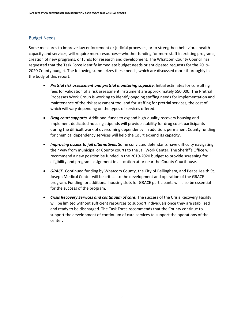## Budget Needs

Some measures to improve law enforcement or judicial processes, or to strengthen behavioral health capacity and services, will require more resources—whether funding for more staff in existing programs, creation of new programs, or funds for research and development. The Whatcom County Council has requested that the Task Force identify immediate budget needs or anticipated requests for the 2019- 2020 County budget. The following summarizes these needs, which are discussed more thoroughly in the body of this report.

- *Pretrial risk assessment and pretrial monitoring capacity*. Initial estimates for consulting fees for validation of a risk assessment instrument are approximately \$50,000. The Pretrial Processes Work Group is working to identify ongoing staffing needs for implementation and maintenance of the risk assessment tool and for staffing for pretrial services, the cost of which will vary depending on the types of services offered.
- *Drug court supports.* Additional funds to expand high-quality recovery housing and implement dedicated housing stipends will provide stability for drug court participants during the difficult work of overcoming dependency. In addition, permanent County funding for chemical dependency services will help the Court expand its capacity.
- *Improving access to jail alternatives*. Some convicted defendants have difficulty navigating their way from municipal or County courts to the Jail Work Center. The Sheriff's Office will recommend a new position be funded in the 2019-2020 budget to provide screening for eligibility and program assignment in a location at or near the County Courthouse.
- **GRACE**. Continued funding by Whatcom County, the City of Bellingham, and PeaceHealth St. Joseph Medical Center will be critical to the development and operation of the GRACE program. Funding for additional housing slots for GRACE participants will also be essential for the success of the program.
- *Crisis Recovery Services and continuum of care*. The success of the Crisis Recovery Facility will be limited without sufficient resources to support individuals once they are stabilized and ready to be discharged. The Task Force recommends that the County continue to support the development of continuum of care services to support the operations of the center.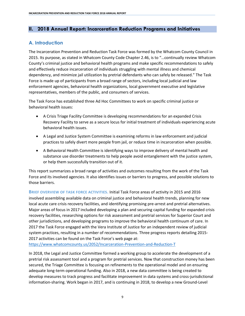## **II. 2018 Annual Report: Incarceration Reduction Programs and Initiatives**

## **A. Introduction**

The Incarceration Prevention and Reduction Task Force was formed by the Whatcom County Council in 2015. Its purpose, as stated in Whatcom County Code Chapter 2.46, is to "…continually review Whatcom County's criminal justice and behavioral health programs and make specific recommendations to safely and effectively reduce incarceration of individuals struggling with mental illness and chemical dependency, and minimize jail utilization by pretrial defendants who can safely be released." The Task Force is made up of participants from a broad range of sectors, including local judicial and law enforcement agencies, behavioral health organizations, local government executive and legislative representatives, members of the public, and consumers of services.

The Task Force has established three Ad Hoc Committees to work on specific criminal justice or behavioral health issues:

- A Crisis Triage Facility Committee is developing recommendations for an expanded Crisis Recovery Facility to serve as a secure locus for initial treatment of individuals experiencing acute behavioral health issues.
- A Legal and Justice System Committee is examining reforms in law enforcement and judicial practices to safely divert more people from jail, or reduce time in incarceration when possible.
- A Behavioral Health Committee is identifying ways to improve delivery of mental health and substance use disorder treatments to help people avoid entanglement with the justice system, or help them successfully transition out of it.

This report summarizes a broad range of activities and outcomes resulting from the work of the Task Force and its involved agencies. It also identifies issues or barriers to progress, and possible solutions to those barriers.

**BRIEF OVERVIEW OF TASK FORCE ACTIVITIES.** Initial Task Force areas of activity in 2015 and 2016 involved assembling available data on criminal justice and behavioral health trends, planning for new local acute care crisis recovery facilities, and identifying promising pre-arrest and pretrial alternatives. Major areas of focus in 2017 included developing a plan and securing capital funding for expanded crisis recovery facilities, researching options for risk assessment and pretrial services for Superior Court and other jurisdictions, and developing programs to improve the behavioral health continuum of care. In 2017 the Task Force engaged with the Vera Institute of Justice for an independent review of judicial system practices, resulting in a number of recommendations. Three progress reports detailing 2015- 2017 activities can be found on the Task Force's web page at:

<https://www.whatcomcounty.us/2052/Incarceration-Prevention-and-Reduction-T>

In 2018, the Legal and Justice Committee formed a working group to accelerate the development of a pretrial risk assessment tool and a program for pretrial services. Now that construction money has been secured, the Triage Committee is focusing on refinements to the operational model and on ensuring adequate long-term operational funding. Also in 2018, a new data committee is being created to develop measures to track progress and facilitate improvement in data systems and cross-jurisdictional information-sharing. Work began in 2017, and is continuing in 2018, to develop a new Ground-Level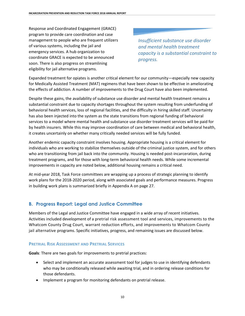Response and Coordinated Engagement (GRACE) program to provide care coordination and case management to people who are frequent utilizers of various systems, including the jail and emergency services. A hub organization to coordinate GRACE is expected to be announced soon. There is also progress on streamlining eligibility for jail alternative programs.

*Insufficient substance use disorder and mental health treatment capacity is a substantial constraint to progress.*

Expanded treatment for opiates is another critical element for our community—especially new capacity for Medically Assisted Treatment (MAT) regimens that have been shown to be effective in ameliorating the effects of addiction. A number of improvements to the Drug Court have also been implemented.

Despite these gains, the availability of substance use disorder and mental health treatment remains a substantial constraint due to capacity shortages throughout the system resulting from underfunding of behavioral health services, loss of regional facilities, and the difficulty in hiring skilled staff. Uncertainty has also been injected into the system as the state transitions from regional funding of behavioral services to a model where mental health and substance use disorder treatment services will be paid for by health insurers. While this may improve coordination of care between medical and behavioral health, it creates uncertainly on whether many critically needed services will be fully funded.

Another endemic capacity constraint involves housing. Appropriate housing is a critical element for individuals who are working to stabilize themselves outside of the criminal justice system, and for others who are transitioning from jail back into the community. Housing is needed post-incarceration, during treatment programs, and for those with long-term behavioral health needs. While some incremental improvements in capacity are noted below, additional housing remains a critical need.

At mid-year 2018, Task Force committees are wrapping up a process of strategic planning to identify work plans for the 2018-2020 period, along with associated goals and performance measures. Progress in building work plans is summarized briefly in Appendix A on page 27.

## **B. Progress Report: Legal and Justice Committee**

Members of the Legal and Justice Committee have engaged in a wide array of recent initiatives. Activities included development of a pretrial risk assessment tool and services, improvements to the Whatcom County Drug Court, warrant reduction efforts, and improvements to Whatcom County jail alternative programs. Specific initiatives, progress, and remaining issues are discussed below.

## **PRETRIAL RISK ASSESSMENT AND PRETRIAL SERVICES**

**Goals**: There are two goals for improvements to pretrial practices:

- Select and implement an accurate assessment tool for judges to use in identifying defendants who may be conditionally released while awaiting trial, and in ordering release conditions for those defendants.
- Implement a program for monitoring defendants on pretrial release.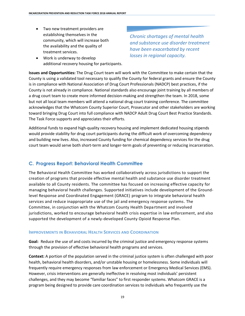- Two new treatment providers are establishing themselves in the community, which will increase both the availability and the quality of treatment services.
- Work is underway to develop additional recovery housing for participants.

*Chronic shortages of mental health and substance use disorder treatment have been exacerbated by recent losses in regional capacity.*

**Issues and Opportunities:** The Drug Court team will work with the Committee to make certain that the County is using a validated tool necessary to qualify the County for federal grants and ensure the County is in compliance with National Association of Drug Court Professionals (NADCP) best practices, if the County is not already in compliance. National standards also encourage joint training by all members of a drug court team to create more informed decision-making and strengthen the team. In 2018, some but not all local team members will attend a national drug court training conference. The committee acknowledges that the Whatcom County Superior Court, Prosecutor and other stakeholders are working toward bringing Drug Court into full compliance with NADCP Adult Drug Court Best Practice Standards. The Task Force supports and appreciates their efforts.

Additional funds to expand high-quality recovery housing and implement dedicated housing stipends would provide stability for drug court participants during the difficult work of overcoming dependency and building new lives. Also, increased County funding for chemical dependency services for the drug court team would serve both short-term and longer-term goals of preventing or reducing incarceration.

## **C. Progress Report: Behavioral Health Committee**

The Behavioral Health Committee has worked collaboratively across jurisdictions to support the creation of programs that provide effective mental health and substance use disorder treatment available to all County residents. The committee has focused on increasing effective capacity for managing behavioral health challenges. Supported initiatives include development of the Groundlevel Response and Coordinated Engagement (GRACE) program to integrate behavioral health services and reduce inappropriate use of the jail and emergency response systems. The Committee, in conjunction with the Whatcom County Health Department and involved jurisdictions, worked to encourage behavioral health crisis expertise in law enforcement, and also supported the development of a newly-developed County Opioid Response Plan.

## **IMPROVEMENTS IN BEHAVIORAL HEALTH SERVICES AND COORDINATION**

**Goal:** Reduce the use of and costs incurred by the criminal justice and emergency response systems through the provision of effective behavioral health programs and services.

**Context:** A portion of the population served in the criminal justice system is often challenged with poor health, behavioral health disorders, and/or unstable housing or homelessness. Some individuals will frequently require emergency responses from law enforcement or Emergency Medical Services (EMS). However, crisis interventions are generally ineffective in resolving most individuals' persistent challenges, and they may become "familiar faces" to first responder systems. Whatcom GRACE is a program being designed to provide care coordination services to individuals who frequently use the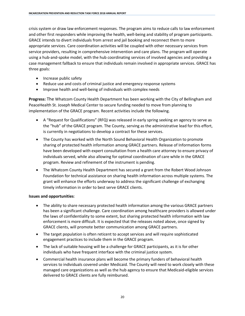crisis system or draw law enforcement responses. The program aims to reduce calls to law enforcement and other first responders while improving the health, well-being and stability of program participants. GRACE intends to divert individuals from arrest and jail booking and reconnect them to more appropriate services. Care coordination activities will be coupled with other necessary services from service providers, resulting in comprehensive intervention and care plans. The program will operate using a hub-and-spoke model, with the hub coordinating services of involved agencies and providing a case management fallback to ensure that individuals remain involved in appropriate services. GRACE has three goals:

- Increase public safety
- Reduce use and costs of criminal justice and emergency response systems
- Improve health and well-being of individuals with complex needs

**Progress:** The Whatcom County Health Department has been working with the City of Bellingham and PeaceHealth St. Joseph Medical Center to secure funding needed to move from planning to implementation of the GRACE program. Recent activities include the following.

- A "Request for Qualifications" (RFQ) was released in early spring seeking an agency to serve as the "hub" of the GRACE program. The County, serving as the administrative lead for this effort, is currently in negotiations to develop a contract for these services.
- The County has worked with the North Sound Behavioral Health Organization to promote sharing of protected health information among GRACE partners. Release of Information forms have been developed with expert consultation from a health care attorney to ensure privacy of individuals served, while also allowing for optimal coordination of care while in the GRACE program. Review and refinement of the instrument is pending.
- The Whatcom County Health Department has secured a grant from the Robert Wood Johnson Foundation for technical assistance on sharing health information across multiple systems. The grant will enhance the efforts underway to address the significant challenge of exchanging timely information in order to best serve GRACE clients.

## **Issues and opportunities**:

- The ability to share necessary protected health information among the various GRACE partners has been a significant challenge. Care coordination among healthcare providers is allowed under the laws of confidentiality to some extent, but sharing protected health information with law enforcement is more difficult. It is expected that the releases noted above, once signed by GRACE clients, will promote better communication among GRACE partners.
- The target population is often reticent to accept services and will require sophisticated engagement practices to include them in the GRACE program.
- The lack of suitable housing will be a challenge for GRACE participants, as it is for other individuals who have frequent interface with the criminal justice system.
- Commercial health insurance plans will become the primary funders of behavioral health services to individuals covered under Medicaid. The County will need to work closely with these managed care organizations as well as the hub agency to ensure that Medicaid-eligible services delivered to GRACE clients are fully reimbursed.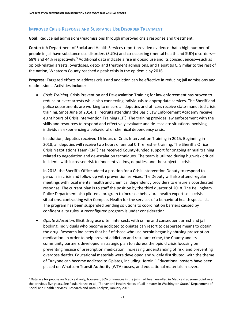#### **IMPROVED CRISIS RESPONSE AND SUBSTANCE USE DISORDER TREATMENT**

**Goal:** Reduce jail admissions/readmissions through improved crisis response and treatment.

**Context:** A Department of Social and Health Services report provided evidence that a high number of people in jail have substance use disorders (SUDs) and co-occurring (mental health and SUD) disorders— 68% and 44% respectively.<sup>5</sup> Additional data indicate a rise in opioid use and its consequences—such as opioid-related arrests, overdoses, detox and treatment admissions, and Hepatitis C. Similar to the rest of the nation, Whatcom County reached a peak crisis in the epidemic by 2016.

**Progress:** Targeted efforts to address crisis and addiction can be effective in reducing jail admissions and readmissions. Activities include:

 *Crisis Training.* Crisis Prevention and De-escalation Training for law enforcement has proven to reduce or avert arrests while also connecting individuals to appropriate services. The Sheriff and police departments are working to ensure all deputies and officers receive state-mandated crisis training. Since June of 2014, all recruits attending the Basic Law Enforcement Academy receive eight hours of Crisis Intervention Training (CIT). The training provides law enforcement with the skills and resources to respond and effectively evaluate and de-escalate situations involving individuals experiencing a behavioral or chemical dependency crisis.

In addition, deputies received 16 hours of Crisis Intervention Training in 2015. Beginning in 2018, all deputies will receive two hours of annual CIT refresher training. The Sheriff's Office Crisis Negotiations Team (CNT) has received County-funded support for ongoing annual training related to negotiation and de-escalation techniques. The team is utilized during high-risk critical incidents with increased risk to innocent victims, deputies, and the subject in crisis.

In 2018, the Sheriff's Office added a position for a Crisis Intervention Deputy to respond to persons in crisis and follow up with prevention services. The Deputy will also attend regular meetings with local mental health and chemical dependency providers to ensure a coordinated response. The current plan is to staff the position by the third quarter of 2018. The Bellingham Police Department also piloted a program to increase behavioral health expertise in crisis situations, contracting with Compass Health for the services of a behavioral health specialist. The program has been suspended pending solutions to coordination barriers caused by confidentiality rules. A reconfigured program is under consideration.

 *Opiate Education.* Illicit drug use often intersects with crime and consequent arrest and jail booking. Individuals who become addicted to opiates can resort to desperate means to obtain the drug. Research indicates that half of those who use heroin began by abusing prescription medication. In order to help prevent addiction and resultant crime, the County and its community partners developed a strategic plan to address the opioid crisis focusing on preventing misuse of prescription medication, increasing understanding of risk, and preventing overdose deaths. Educational materials were developed and widely distributed, with the theme of "Anyone can become addicted to Opiates, including Heroin." Educational posters have been placed on Whatcom Transit Authority (WTA) buses, and educational materials in several

 $\overline{\phantom{a}}$ 

<sup>5</sup> Data are for people on Medicaid only; however, 86% of inmates in the jails had been enrolled in Medicaid at some point over the previous five years. See Paula Henzel et al., "Behavioral Health Needs of Jail Inmates in Washington State," Department of Social and Health Services, Research and Data Analysis, January 2016.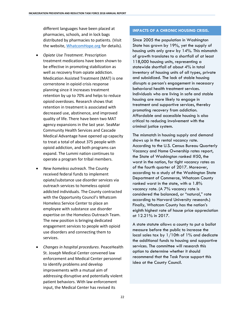different languages have been placed at pharmacies, schools, and in lock bags distributed by pharmacies to patients. (Visit the website, [WhatcomHope.org](http://www.whatcomhope.org/) for details).

- *Opiate Use Treatment*. Prescription treatment medications have been shown to be effective in promoting stabilization as well as recovery from opiate addiction. Medication Assisted Treatment (MAT) is one cornerstone in opioid crisis response planning since it increases treatment retention by up to 70% and helps to reduce opioid overdoses. Research shows that retention in treatment is associated with decreased use, abstinence, and improved quality of life. There have been two MAT agency expansions in the last year. SeaMar Community Health Services and Cascade Medical Advantage have opened up capacity to treat a total of about 375 people with opioid addiction, and both programs can expand. The Lummi nation continues to operate a program for tribal members.
- *New homeless outreach*. The County received federal funds to implement opiate/substance use disorder services via outreach services to homeless opioid addicted individuals. The County contracted with the Opportunity Council's Whatcom Homeless Service Center to place an employee with substance use disorder expertise on the Homeless Outreach Team. The new position is bringing dedicated engagement services to people with opioid use disorders and connecting them to services.
- *Changes in hospital procedures*. PeaceHealth St. Joseph Medical Center convened law enforcement and Medical Center personnel to identify problems and develop improvements with a mutual aim of addressing disruptive and potentially violent patient behaviors. With law enforcement input, the Medical Center has revised its

#### **IMPACTS OF A CHRONIC HOUSING CRISIS.**

Since 2005 the population in Washington State has grown by 19%, yet the supply of housing units only grew by 14%. This mismatch of growth translates to a shortfall of at least 118,000 housing units, representing a statewide shortfall of about 4% in total inventory of housing units of all types, private and subsidized. The lack of stable housing disrupts a person's engagement in necessary behavioral health treatment services. Individuals who are living in safe and stable housing are more likely to engage in treatment and supportive services, thereby promoting recovery from addiction. Affordable and accessible housing is also critical to reducing involvement with the criminal justice system.

The mismatch in housing supply and demand shows up in the rental vacancy rate. According to the U.S. Census Bureau Quarterly Vacancy and Home Ownership rates report, the State of Washington ranked #50, the worst in the nation, for tight vacancy rates as of the fourth quarter of 2017. Moreover, according to a study of the Washington State Department of Commerce, Whatcom County ranked worst in the state, with a 1.8% vacancy rate. (A 7% vacancy rate is considered the balanced, or "natural," rate according to Harvard University research.) Finally, Whatcom County has the nation's eighth highest rate of house price appreciation at 12.21% in 2017.

A state statute allows a county to put a ballot measure before the public to increase the local sales tax by 1/10th of 1% and dedicate the additional funds to housing and supportive services. The committee will research this option to determine whether it should recommend that the Task Force support this idea at the County Council.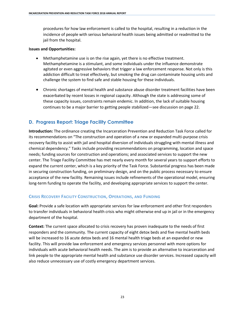procedures for how law enforcement is called to the hospital, resulting in a reduction in the incidence of people with serious behavioral health issues being admitted or readmitted to the jail from the hospital.

#### **Issues and Opportunities:**

- Methamphetamine use is on the rise again, yet there is no effective treatment. Methamphetamine is a stimulant, and some individuals under the influence demonstrate agitated or even aggressive behaviors that trigger a law enforcement response. Not only is this addiction difficult to treat effectively, but smoking the drug can contaminate housing units and challenge the system to find safe and stable housing for these individuals.
- Chronic shortages of mental health and substance abuse disorder treatment facilities have been exacerbated by recent losses in regional capacity. Although the state is addressing some of these capacity issues, constraints remain endemic. In addition, the lack of suitable housing continues to be a major barrier to getting people stabilized—see discussion on page 22.

## **D. Progress Report: Triage Facility Committee**

**Introduction:** The ordinance creating the Incarceration Prevention and Reduction Task Force called for its recommendations on "The construction and operation of a new or expanded multi-purpose crisis recovery facility to assist with jail and hospital diversion of individuals struggling with mental illness and chemical dependency." Tasks include providing recommendations on programming, location and space needs; funding sources for construction and operations; and associated services to support the new center. The Triage Facility Committee has met nearly every month for several years to support efforts to expand the current center, which is a key priority of the Task Force. Substantial progress has been made in securing construction funding, on preliminary design, and on the public process necessary to ensure acceptance of the new facility. Remaining issues include refinements of the operational model, ensuring long-term funding to operate the facility, and developing appropriate services to support the center.

## **CRISIS RECOVERY FACILITY CONSTRUCTION, OPERATIONS, AND FUNDING**

**Goal:** Provide a safe location with appropriate services for law enforcement and other first responders to transfer individuals in behavioral health crisis who might otherwise end up in jail or in the emergency department of the hospital.

**Context:** The current space allocated to crisis recovery has proven inadequate to the needs of first responders and the community. The current capacity of eight detox beds and five mental health beds will be increased to 16 acute detox beds and 16 mental health triage beds at an expanded or new facility. This will provide law enforcement and emergency services personnel with more options for individuals with acute behavioral health needs. The aim is to provide an alternative to incarceration and link people to the appropriate mental health and substance use disorder services. Increased capacity will also reduce unnecessary use of costly emergency department services.